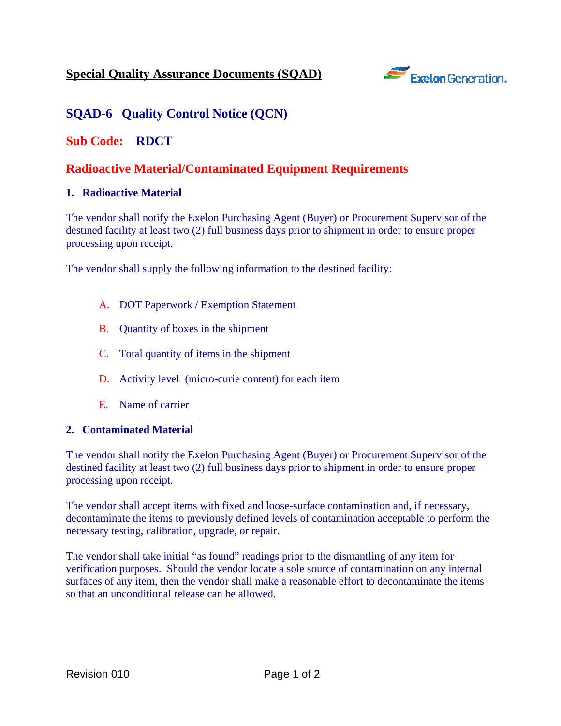

# **SQAD-6 Quality Control Notice (QCN)**

### **Sub Code: RDCT**

## **Radioactive Material/Contaminated Equipment Requirements**

#### **1. Radioactive Material**

The vendor shall notify the Exelon Purchasing Agent (Buyer) or Procurement Supervisor of the destined facility at least two (2) full business days prior to shipment in order to ensure proper processing upon receipt.

The vendor shall supply the following information to the destined facility:

- A. DOT Paperwork / Exemption Statement
- B. Quantity of boxes in the shipment
- C. Total quantity of items in the shipment
- D. Activity level (micro-curie content) for each item
- E. Name of carrier

#### **2. Contaminated Material**

The vendor shall notify the Exelon Purchasing Agent (Buyer) or Procurement Supervisor of the destined facility at least two (2) full business days prior to shipment in order to ensure proper processing upon receipt.

The vendor shall accept items with fixed and loose-surface contamination and, if necessary, decontaminate the items to previously defined levels of contamination acceptable to perform the necessary testing, calibration, upgrade, or repair.

The vendor shall take initial "as found" readings prior to the dismantling of any item for verification purposes. Should the vendor locate a sole source of contamination on any internal surfaces of any item, then the vendor shall make a reasonable effort to decontaminate the items so that an unconditional release can be allowed.